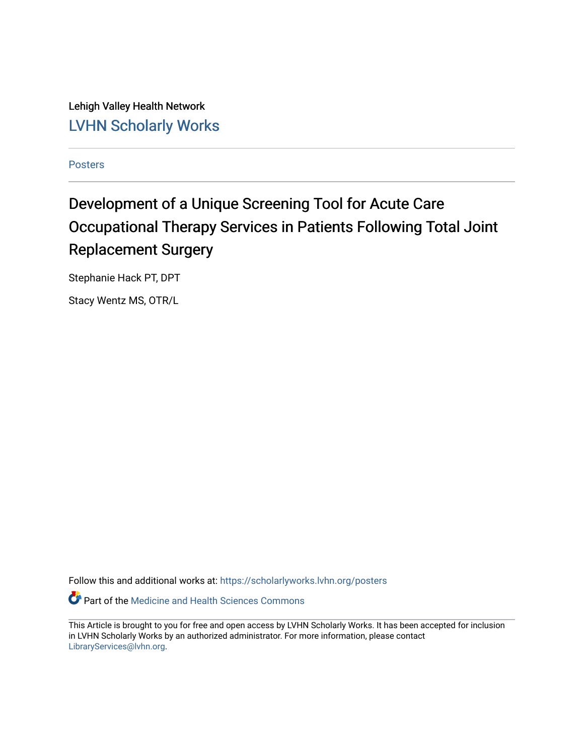Lehigh Valley Health Network [LVHN Scholarly Works](https://scholarlyworks.lvhn.org/)

[Posters](https://scholarlyworks.lvhn.org/posters) 

#### Development of a Unique Screening Tool for Acute Care Occupational Therapy Services in Patients Following Total Joint Replacement Surgery

Stephanie Hack PT, DPT

Stacy Wentz MS, OTR/L

Follow this and additional works at: [https://scholarlyworks.lvhn.org/posters](https://scholarlyworks.lvhn.org/posters?utm_source=scholarlyworks.lvhn.org%2Fposters%2F31&utm_medium=PDF&utm_campaign=PDFCoverPages) 

Part of the [Medicine and Health Sciences Commons](http://network.bepress.com/hgg/discipline/648?utm_source=scholarlyworks.lvhn.org%2Fposters%2F31&utm_medium=PDF&utm_campaign=PDFCoverPages) 

This Article is brought to you for free and open access by LVHN Scholarly Works. It has been accepted for inclusion in LVHN Scholarly Works by an authorized administrator. For more information, please contact [LibraryServices@lvhn.org](mailto:LibraryServices@lvhn.org).